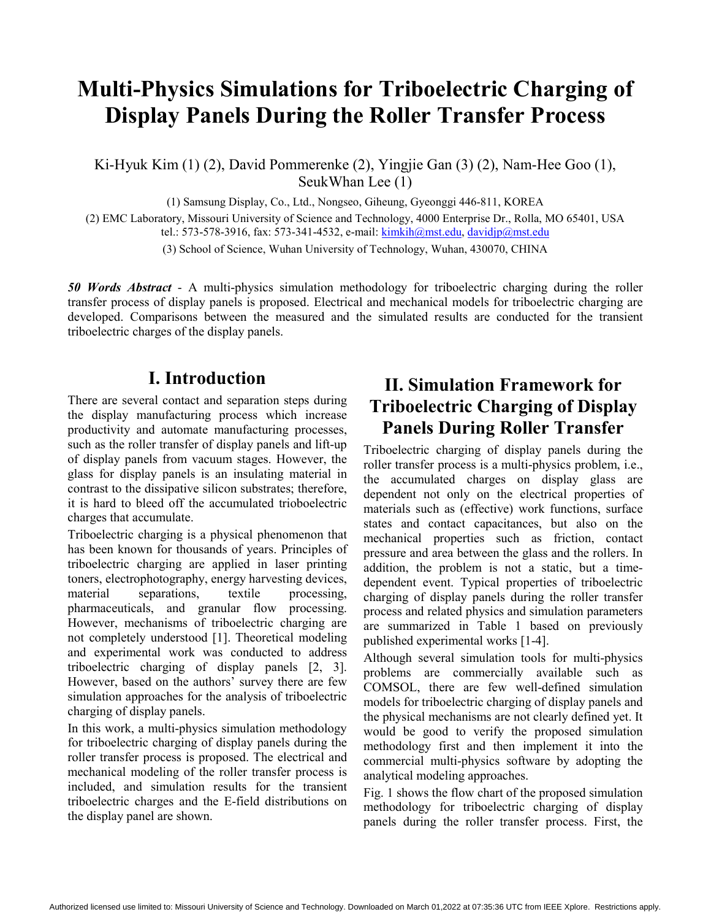# **Multi-Physics Simulations for Triboelectric Charging of Display Panels During the Roller Transfer Process**

Ki-Hyuk Kim (1) (2), David Pommerenke (2), Yingjie Gan (3) (2), Nam-Hee Goo (1), SeukWhan Lee (1)

(1) Samsung Display, Co., Ltd., Nongseo, Giheung, Gyeonggi 446-811, KOREA

(2) EMC Laboratory, Missouri University of Science and Technology, 4000 Enterprise Dr., Rolla, MO 65401, USA

tel.: 573-578-3916, fax: 573-341-4532, e-mail: kimkih@mst.edu, davidjp@mst.edu

(3) School of Science, Wuhan University of Technology, Wuhan, 430070, CHINA

*50 Words Abstract* - A multi-physics simulation methodology for triboelectric charging during the roller transfer process of display panels is proposed. Electrical and mechanical models for triboelectric charging are developed. Comparisons between the measured and the simulated results are conducted for the transient triboelectric charges of the display panels.

### **I. Introduction**

There are several contact and separation steps during the display manufacturing process which increase productivity and automate manufacturing processes, such as the roller transfer of display panels and lift-up of display panels from vacuum stages. However, the glass for display panels is an insulating material in contrast to the dissipative silicon substrates; therefore, it is hard to bleed off the accumulated trioboelectric charges that accumulate.

Triboelectric charging is a physical phenomenon that has been known for thousands of years. Principles of triboelectric charging are applied in laser printing toners, electrophotography, energy harvesting devices, material separations, textile processing, pharmaceuticals, and granular flow processing. However, mechanisms of triboelectric charging are not completely understood [1]. Theoretical modeling and experimental work was conducted to address triboelectric charging of display panels [2, 3]. However, based on the authors' survey there are few simulation approaches for the analysis of triboelectric charging of display panels.

In this work, a multi-physics simulation methodology for triboelectric charging of display panels during the roller transfer process is proposed. The electrical and mechanical modeling of the roller transfer process is included, and simulation results for the transient triboelectric charges and the E-field distributions on the display panel are shown.

## **II. Simulation Framework for Triboelectric Charging of Display Panels During Roller Transfer**

Triboelectric charging of display panels during the roller transfer process is a multi-physics problem, i.e., the accumulated charges on display glass are dependent not only on the electrical properties of materials such as (effective) work functions, surface states and contact capacitances, but also on the mechanical properties such as friction, contact pressure and area between the glass and the rollers. In addition, the problem is not a static, but a timedependent event. Typical properties of triboelectric charging of display panels during the roller transfer process and related physics and simulation parameters are summarized in Table 1 based on previously published experimental works [1-4].

Although several simulation tools for multi-physics problems are commercially available such as COMSOL, there are few well-defined simulation models for triboelectric charging of display panels and the physical mechanisms are not clearly defined yet. It would be good to verify the proposed simulation methodology first and then implement it into the commercial multi-physics software by adopting the analytical modeling approaches.

Fig. 1 shows the flow chart of the proposed simulation methodology for triboelectric charging of display panels during the roller transfer process. First, the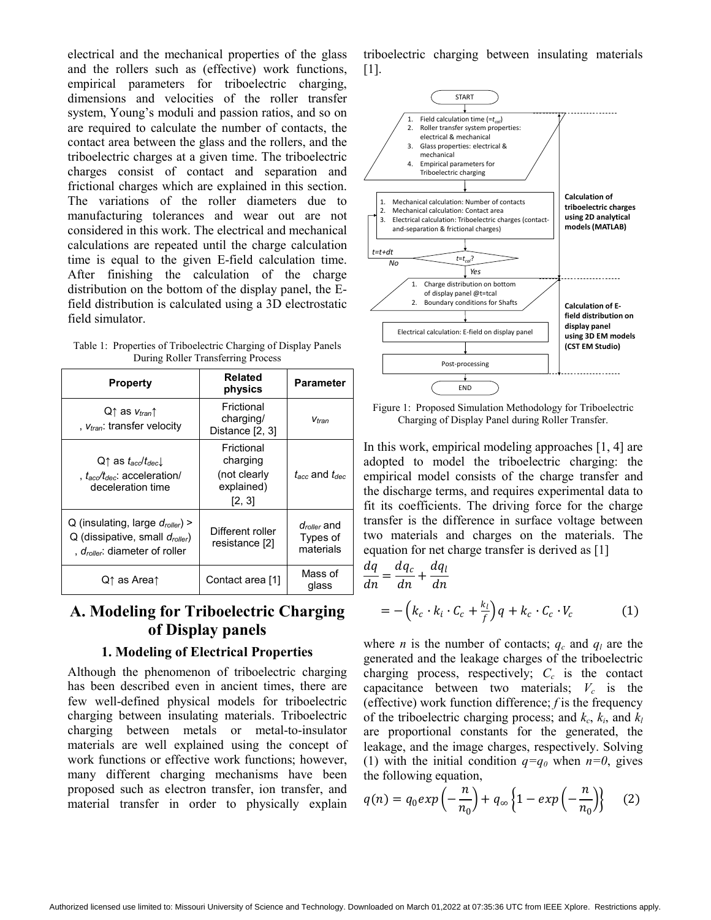electrical and the mechanical properties of the glass and the rollers such as (effective) work functions, empirical parameters for triboelectric charging, dimensions and velocities of the roller transfer system, Young's moduli and passion ratios, and so on are required to calculate the number of contacts, the contact area between the glass and the rollers, and the triboelectric charges at a given time. The triboelectric charges consist of contact and separation and frictional charges which are explained in this section. The variations of the roller diameters due to manufacturing tolerances and wear out are not considered in this work. The electrical and mechanical calculations are repeated until the charge calculation time is equal to the given E-field calculation time. After finishing the calculation of the charge distribution on the bottom of the display panel, the Efield distribution is calculated using a 3D electrostatic field simulator.

| Table 1: Properties of Triboelectric Charging of Display Panels |
|-----------------------------------------------------------------|
| During Roller Transferring Process                              |

| <b>Property</b>                                                                                                              | <b>Related</b><br>physics                                      | Parameter                                        |
|------------------------------------------------------------------------------------------------------------------------------|----------------------------------------------------------------|--------------------------------------------------|
| $Q \uparrow$ as $V_{tran} \uparrow$<br>, $V_{tran}$ : transfer velocity                                                      | Frictional<br>charging/<br>Distance [2, 3]                     | Vtran                                            |
| $Q\uparrow$ as $t_{acc}/t_{dec}$<br>, $t_{\text{acc}}/t_{\text{dec}}$ : acceleration/<br>deceleration time                   | Frictional<br>charging<br>(not clearly<br>explained)<br>[2, 3] | $t_{\rm acc}$ and $t_{\rm dec}$                  |
| Q (insulating, large $d_{\text{roller}}$ ) ><br>Q (dissipative, small droller)<br>, $d_{\text{roller}}$ : diameter of roller | Different roller<br>resistance [2]                             | d <sub>roller</sub> and<br>Types of<br>materials |
| Q↑ as Area↑                                                                                                                  | Contact area [1]                                               | Mass of<br>glass                                 |

### **A. Modeling for Triboelectric Charging of Display panels**

#### **1. Modeling of Electrical Properties**

Although the phenomenon of triboelectric charging has been described even in ancient times, there are few well-defined physical models for triboelectric charging between insulating materials. Triboelectric charging between metals or metal-to-insulator materials are well explained using the concept of work functions or effective work functions; however, many different charging mechanisms have been proposed such as electron transfer, ion transfer, and material transfer in order to physically explain triboelectric charging between insulating materials [1].



Figure 1: Proposed Simulation Methodology for Triboelectric Charging of Display Panel during Roller Transfer.

In this work, empirical modeling approaches [1, 4] are adopted to model the triboelectric charging: the empirical model consists of the charge transfer and the discharge terms, and requires experimental data to fit its coefficients. The driving force for the charge transfer is the difference in surface voltage between two materials and charges on the materials. The equation for net charge transfer is derived as [1]

$$
\frac{dq}{dn} = \frac{dq_c}{dn} + \frac{dq_l}{dn}
$$
  
= -\left(k\_c \cdot k\_i \cdot C\_c + \frac{k\_l}{f}\right)q + k\_c \cdot C\_c \cdot V\_c \t(1)

where *n* is the number of contacts;  $q_c$  and  $q_l$  are the generated and the leakage charges of the triboelectric charging process, respectively;  $C_c$  is the contact capacitance between two materials;  $V_c$  is the (effective) work function difference; *f* is the frequency of the triboelectric charging process; and  $k_c$ ,  $k_i$ , and  $k_l$ are proportional constants for the generated, the leakage, and the image charges, respectively. Solving (1) with the initial condition  $q=q_0$  when  $n=0$ , gives the following equation,

$$
q(n) = q_0 exp\left(-\frac{n}{n_0}\right) + q_\infty \left\{1 - exp\left(-\frac{n}{n_0}\right)\right\} \tag{2}
$$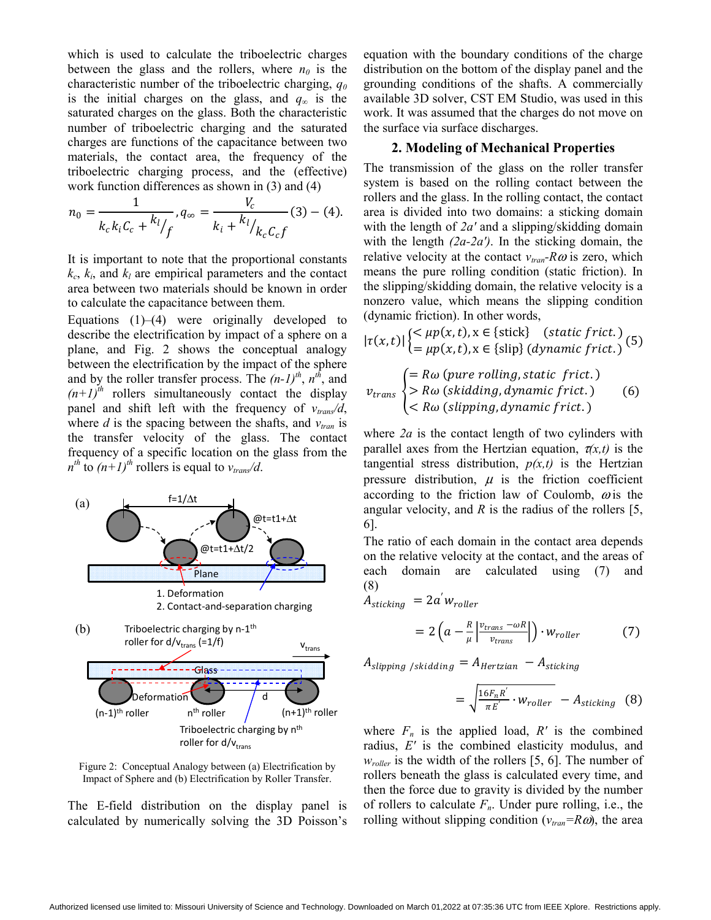which is used to calculate the triboelectric charges between the glass and the rollers, where  $n_0$  is the characteristic number of the triboelectric charging, *q0* is the initial charges on the glass, and  $q_\infty$  is the saturated charges on the glass. Both the characteristic number of triboelectric charging and the saturated charges are functions of the capacitance between two materials, the contact area, the frequency of the triboelectric charging process, and the (effective) work function differences as shown in (3) and (4)

$$
n_0 = \frac{1}{k_c k_i C_c + \frac{k_l}{f}}, q_\infty = \frac{V_c}{k_i + \frac{k_l}{k_c C_c f}} (3) - (4).
$$

It is important to note that the proportional constants  $k_c$ ,  $k_i$ , and  $k_l$  are empirical parameters and the contact area between two materials should be known in order to calculate the capacitance between them.

Equations  $(1)$ – $(4)$  were originally developed to describe the electrification by impact of a sphere on a plane, and Fig. 2 shows the conceptual analogy between the electrification by the impact of the sphere and by the roller transfer process. The  $(n-1)^{th}$ ,  $n^{th}$ , and  $(n+1)^{th}$  rollers simultaneously contact the display panel and shift left with the frequency of  $v_{trans}/d$ , where  $d$  is the spacing between the shafts, and  $v_{tran}$  is the transfer velocity of the glass. The contact frequency of a specific location on the glass from the  $n^{th}$  to  $(n+1)^{th}$  rollers is equal to  $v_{trans}/d$ .



Figure 2: Conceptual Analogy between (a) Electrification by Impact of Sphere and (b) Electrification by Roller Transfer.

The E-field distribution on the display panel is calculated by numerically solving the 3D Poisson's equation with the boundary conditions of the charge distribution on the bottom of the display panel and the grounding conditions of the shafts. A commercially available 3D solver, CST EM Studio, was used in this work. It was assumed that the charges do not move on the surface via surface discharges.

#### **2. Modeling of Mechanical Properties**

The transmission of the glass on the roller transfer system is based on the rolling contact between the rollers and the glass. In the rolling contact, the contact area is divided into two domains: a sticking domain with the length of *2a′* and a slipping/skidding domain with the length *(2a-2a′)*. In the sticking domain, the relative velocity at the contact  $v_{tran}$ - $R\omega$  is zero, which means the pure rolling condition (static friction). In the slipping/skidding domain, the relative velocity is a nonzero value, which means the slipping condition (dynamic friction). In other words,

$$
|\tau(x,t)| \begin{cases} <\mu p(x,t), x \in \{\text{stick}\} & (\text{static frict.})\\ = \mu p(x,t), x \in \{\text{slip}\} & (\text{dynamic frict.}) \end{cases}
$$
(5)

$$
v_{trans} \begin{cases} = R\omega \text{ (pure rolling, static friction)} \\ > R\omega \text{ (skidding, dynamic friction)} \\ < R\omega \text{ (slipping, dynamic friction)} \end{cases} \tag{6}
$$

where *2a* is the contact length of two cylinders with parallel axes from the Hertzian equation,  $\tau(x,t)$  is the tangential stress distribution,  $p(x,t)$  is the Hertzian pressure distribution,  $\mu$  is the friction coefficient according to the friction law of Coulomb,  $\omega$  is the angular velocity, and *R* is the radius of the rollers [5, 6].

The ratio of each domain in the contact area depends on the relative velocity at the contact, and the areas of each domain are calculated using (7) and (8)

$$
A_{sticking} = 2a'w_{roller}
$$
  
=  $2\left(a - \frac{R}{\mu} \left| \frac{v_{trans} - \omega R}{v_{trans}} \right| \right) \cdot w_{roller}$  (7)

 $A_{slipping / skidding} = A_{Hertzian} - A_{sticking}$ 

$$
= \sqrt{\frac{16F_nR'}{\pi E'}} \cdot w_{roller} - A_{sticking} \quad (8)
$$

where  $F_n$  is the applied load,  $R'$  is the combined radius, *E′* is the combined elasticity modulus, and *w<sub>roller</sub>* is the width of the rollers [5, 6]. The number of rollers beneath the glass is calculated every time, and then the force due to gravity is divided by the number of rollers to calculate  $F_n$ . Under pure rolling, i.e., the rolling without slipping condition  $(v_{tran} = R\omega)$ , the area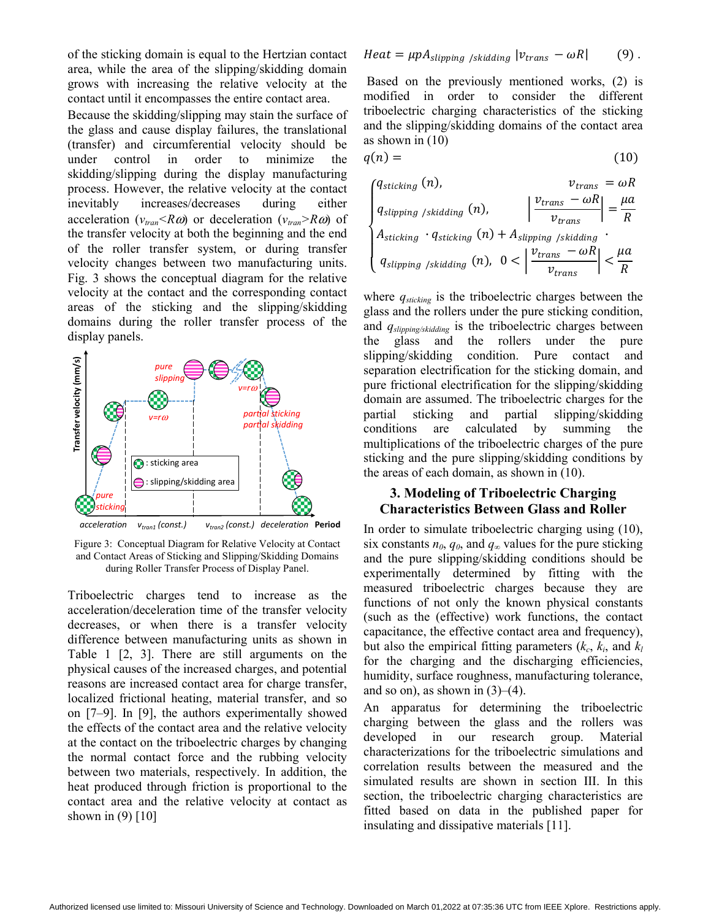of the sticking domain is equal to the Hertzian contact area, while the area of the slipping/skidding domain grows with increasing the relative velocity at the contact until it encompasses the entire contact area.

Because the skidding/slipping may stain the surface of the glass and cause display failures, the translational (transfer) and circumferential velocity should be under control in order to minimize the skidding/slipping during the display manufacturing process. However, the relative velocity at the contact inevitably increases/decreases during either acceleration ( $v_{tran} < R\omega$ ) or deceleration ( $v_{tran} > R\omega$ ) of the transfer velocity at both the beginning and the end of the roller transfer system, or during transfer velocity changes between two manufacturing units. Fig. 3 shows the conceptual diagram for the relative velocity at the contact and the corresponding contact areas of the sticking and the slipping/skidding domains during the roller transfer process of the display panels.



Figure 3: Conceptual Diagram for Relative Velocity at Contact and Contact Areas of Sticking and Slipping/Skidding Domains during Roller Transfer Process of Display Panel.

Triboelectric charges tend to increase as the acceleration/deceleration time of the transfer velocity decreases, or when there is a transfer velocity difference between manufacturing units as shown in Table 1 [2, 3]. There are still arguments on the physical causes of the increased charges, and potential reasons are increased contact area for charge transfer, localized frictional heating, material transfer, and so on [7–9]. In [9], the authors experimentally showed the effects of the contact area and the relative velocity at the contact on the triboelectric charges by changing the normal contact force and the rubbing velocity between two materials, respectively. In addition, the heat produced through friction is proportional to the contact area and the relative velocity at contact as shown in  $(9)$  [10]

 Based on the previously mentioned works, (2) is modified in order to consider the different triboelectric charging characteristics of the sticking and the slipping/skidding domains of the contact area as shown in (10)

$$
q(n) = (10)
$$

| \n $\begin{cases}\n q_{\text{sticking}}(n), & v_{\text{trans}} = \omega R \\ q_{\text{slipping}/\text{skidding}}(n), & \left  \frac{v_{\text{trans}} - \omega R}{v_{\text{trans}}} \right  = \frac{\mu a}{R} \\ A_{\text{sticking}} \cdot q_{\text{sticking}}(n) + A_{\text{slipping}/\text{skidding}} \\ q_{\text{slipping}/\text{skidding}}(n), & 0 < \left  \frac{v_{\text{trans}} - \omega R}{v_{\text{trans}}} \right  < \frac{\mu a}{R}\n \end{cases}$ \n |
|-----------------------------------------------------------------------------------------------------------------------------------------------------------------------------------------------------------------------------------------------------------------------------------------------------------------------------------------------------------------------------------------------------------------------------------------------------------------|
|-----------------------------------------------------------------------------------------------------------------------------------------------------------------------------------------------------------------------------------------------------------------------------------------------------------------------------------------------------------------------------------------------------------------------------------------------------------------|

where  $q_{\text{sticking}}$  is the triboelectric charges between the glass and the rollers under the pure sticking condition, and *qslipping/skidding* is the triboelectric charges between the glass and the rollers under the pure slipping/skidding condition. Pure contact and separation electrification for the sticking domain, and pure frictional electrification for the slipping/skidding domain are assumed. The triboelectric charges for the partial sticking and partial slipping/skidding conditions are calculated by summing the multiplications of the triboelectric charges of the pure sticking and the pure slipping/skidding conditions by the areas of each domain, as shown in (10).

### **3. Modeling of Triboelectric Charging Characteristics Between Glass and Roller**

In order to simulate triboelectric charging using (10), six constants  $n_0$ ,  $q_0$ , and  $q_\infty$  values for the pure sticking and the pure slipping/skidding conditions should be experimentally determined by fitting with the measured triboelectric charges because they are functions of not only the known physical constants (such as the (effective) work functions, the contact capacitance, the effective contact area and frequency), but also the empirical fitting parameters  $(k_c, k_i, \text{ and } k_l)$ for the charging and the discharging efficiencies, humidity, surface roughness, manufacturing tolerance, and so on), as shown in  $(3)$ – $(4)$ .

An apparatus for determining the triboelectric charging between the glass and the rollers was developed in our research group. Material characterizations for the triboelectric simulations and correlation results between the measured and the simulated results are shown in section III. In this section, the triboelectric charging characteristics are fitted based on data in the published paper for insulating and dissipative materials [11].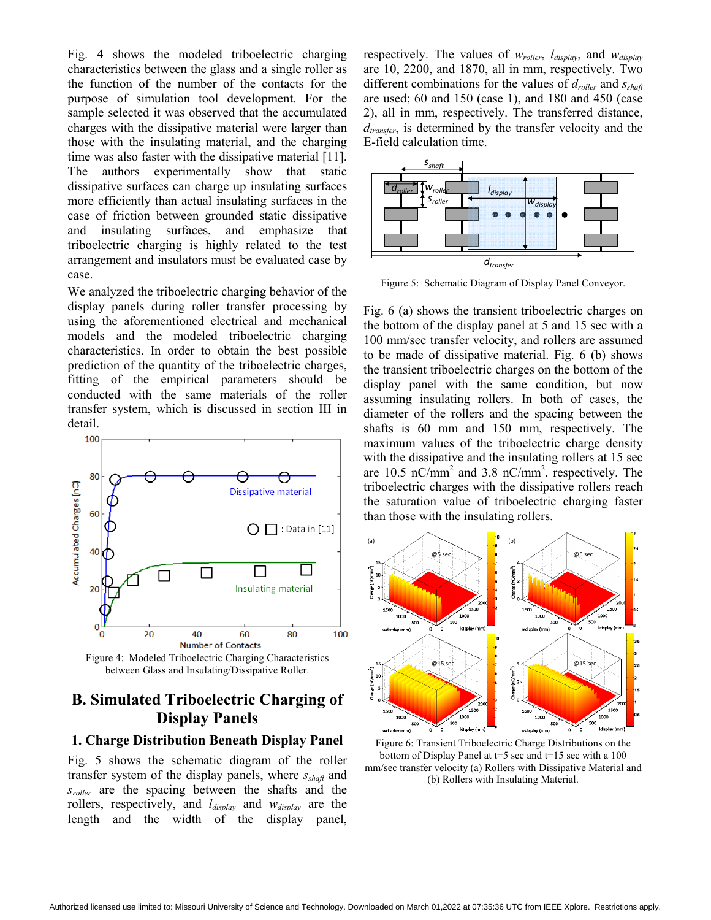Fig. 4 shows the modeled triboelectric charging characteristics between the glass and a single roller as the function of the number of the contacts for the purpose of simulation tool development. For the sample selected it was observed that the accumulated charges with the dissipative material were larger than those with the insulating material, and the charging time was also faster with the dissipative material [11]. The authors experimentally show that static dissipative surfaces can charge up insulating surfaces more efficiently than actual insulating surfaces in the case of friction between grounded static dissipative and insulating surfaces, and emphasize that triboelectric charging is highly related to the test arrangement and insulators must be evaluated case by case.

We analyzed the triboelectric charging behavior of the display panels during roller transfer processing by using the aforementioned electrical and mechanical models and the modeled triboelectric charging characteristics. In order to obtain the best possible prediction of the quantity of the triboelectric charges, fitting of the empirical parameters should be conducted with the same materials of the roller transfer system, which is discussed in section III in detail.



Figure 4: Modeled Triboelectric Charging Characteristics between Glass and Insulating/Dissipative Roller.

### **B. Simulated Triboelectric Charging of Display Panels**

#### **1. Charge Distribution Beneath Display Panel**

Fig. 5 shows the schematic diagram of the roller transfer system of the display panels, where *sshaft* and *sroller* are the spacing between the shafts and the rollers, respectively, and *ldisplay* and *wdisplay* are the length and the width of the display panel,

respectively. The values of *wroller*, *ldisplay*, and *wdisplay* are 10, 2200, and 1870, all in mm, respectively. Two different combinations for the values of *droller* and *sshaft* are used; 60 and 150 (case 1), and 180 and 450 (case 2), all in mm, respectively. The transferred distance, *dtransfer*, is determined by the transfer velocity and the E-field calculation time.



Figure 5: Schematic Diagram of Display Panel Conveyor.

Fig. 6 (a) shows the transient triboelectric charges on the bottom of the display panel at 5 and 15 sec with a 100 mm/sec transfer velocity, and rollers are assumed to be made of dissipative material. Fig. 6 (b) shows the transient triboelectric charges on the bottom of the display panel with the same condition, but now assuming insulating rollers. In both of cases, the diameter of the rollers and the spacing between the shafts is 60 mm and 150 mm, respectively. The maximum values of the triboelectric charge density with the dissipative and the insulating rollers at 15 sec are 10.5 nC/mm<sup>2</sup> and 3.8 nC/mm<sup>2</sup>, respectively. The triboelectric charges with the dissipative rollers reach the saturation value of triboelectric charging faster than those with the insulating rollers.



Figure 6: Transient Triboelectric Charge Distributions on the bottom of Display Panel at  $t=5$  sec and  $t=15$  sec with a 100 mm/sec transfer velocity (a) Rollers with Dissipative Material and (b) Rollers with Insulating Material.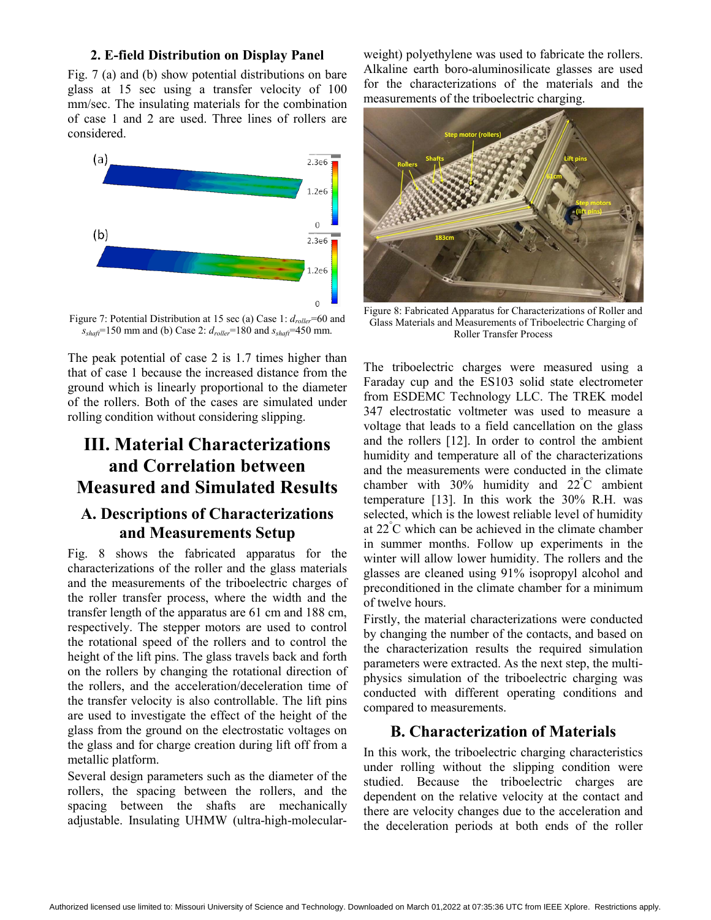#### **2. E-field Distribution on Display Panel**

Fig. 7 (a) and (b) show potential distributions on bare glass at 15 sec using a transfer velocity of 100 mm/sec. The insulating materials for the combination of case 1 and 2 are used. Three lines of rollers are considered.



Figure 7: Potential Distribution at 15 sec (a) Case 1:  $d_{\text{roller}} = 60$  and *sshaft*=150 mm and (b) Case 2: *droller*=180 and *sshaft*=450 mm.

The peak potential of case 2 is 1.7 times higher than that of case 1 because the increased distance from the ground which is linearly proportional to the diameter of the rollers. Both of the cases are simulated under rolling condition without considering slipping.

## **III. Material Characterizations and Correlation between Measured and Simulated Results**

### **A. Descriptions of Characterizations and Measurements Setup**

Fig. 8 shows the fabricated apparatus for the characterizations of the roller and the glass materials and the measurements of the triboelectric charges of the roller transfer process, where the width and the transfer length of the apparatus are 61 cm and 188 cm, respectively. The stepper motors are used to control the rotational speed of the rollers and to control the height of the lift pins. The glass travels back and forth on the rollers by changing the rotational direction of the rollers, and the acceleration/deceleration time of the transfer velocity is also controllable. The lift pins are used to investigate the effect of the height of the glass from the ground on the electrostatic voltages on the glass and for charge creation during lift off from a metallic platform.

Several design parameters such as the diameter of the rollers, the spacing between the rollers, and the spacing between the shafts are mechanically adjustable. Insulating UHMW (ultra-high-molecularweight) polyethylene was used to fabricate the rollers. Alkaline earth boro-aluminosilicate glasses are used for the characterizations of the materials and the measurements of the triboelectric charging.



Figure 8: Fabricated Apparatus for Characterizations of Roller and Glass Materials and Measurements of Triboelectric Charging of Roller Transfer Process

The triboelectric charges were measured using a Faraday cup and the ES103 solid state electrometer from ESDEMC Technology LLC. The TREK model 347 electrostatic voltmeter was used to measure a voltage that leads to a field cancellation on the glass and the rollers [12]. In order to control the ambient humidity and temperature all of the characterizations and the measurements were conducted in the climate chamber with  $30\%$  humidity and  $22^{\circ}$ C ambient temperature [13]. In this work the 30% R.H. was selected, which is the lowest reliable level of humidity at 22° C which can be achieved in the climate chamber in summer months. Follow up experiments in the winter will allow lower humidity. The rollers and the glasses are cleaned using 91% isopropyl alcohol and preconditioned in the climate chamber for a minimum of twelve hours.

Firstly, the material characterizations were conducted by changing the number of the contacts, and based on the characterization results the required simulation parameters were extracted. As the next step, the multiphysics simulation of the triboelectric charging was conducted with different operating conditions and compared to measurements.

#### **B. Characterization of Materials**

In this work, the triboelectric charging characteristics under rolling without the slipping condition were studied. Because the triboelectric charges are dependent on the relative velocity at the contact and there are velocity changes due to the acceleration and the deceleration periods at both ends of the roller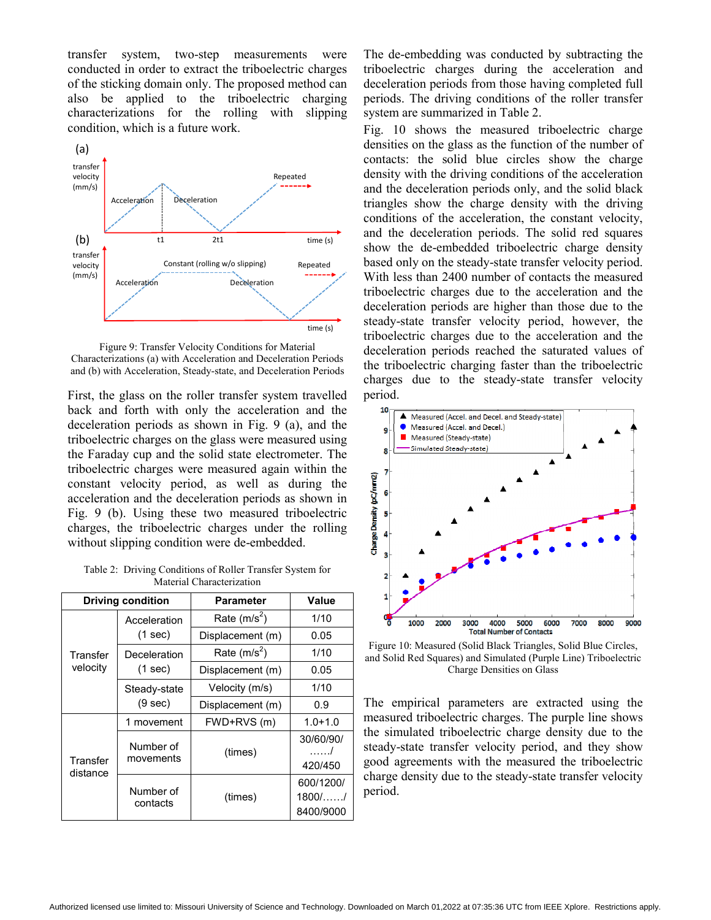transfer system, two-step measurements were conducted in order to extract the triboelectric charges of the sticking domain only. The proposed method can also be applied to the triboelectric charging characterizations for the rolling with slipping condition, which is a future work.



Figure 9: Transfer Velocity Conditions for Material Characterizations (a) with Acceleration and Deceleration Periods and (b) with Acceleration, Steady-state, and Deceleration Periods

First, the glass on the roller transfer system travelled back and forth with only the acceleration and the deceleration periods as shown in Fig. 9 (a), and the triboelectric charges on the glass were measured using the Faraday cup and the solid state electrometer. The triboelectric charges were measured again within the constant velocity period, as well as during the acceleration and the deceleration periods as shown in Fig. 9 (b). Using these two measured triboelectric charges, the triboelectric charges under the rolling without slipping condition were de-embedded.

Table 2: Driving Conditions of Roller Transfer System for Material Characterization

|                      | <b>Driving condition</b> | <b>Parameter</b> | Value                               |
|----------------------|--------------------------|------------------|-------------------------------------|
| Transfer<br>velocity | Acceleration<br>(1 sec)  | Rate $(m/s2)$    | 1/10                                |
|                      |                          | Displacement (m) | 0.05                                |
|                      | Deceleration<br>(1 sec)  | Rate $(m/s^2)$   | 1/10                                |
|                      |                          | Displacement (m) | 0.05                                |
|                      | Steady-state<br>(9 sec)  | Velocity (m/s)   | 1/10                                |
|                      |                          | Displacement (m) | 0.9                                 |
| Transfer<br>distance | 1 movement               | FWD+RVS (m)      | $1.0 + 1.0$                         |
|                      | Number of<br>movements   | (times)          | 30/60/90/<br>. 1<br>420/450         |
|                      | Number of<br>contacts    | (times)          | 600/1200/<br>$1800/$ /<br>8400/9000 |

The de-embedding was conducted by subtracting the triboelectric charges during the acceleration and deceleration periods from those having completed full periods. The driving conditions of the roller transfer system are summarized in Table 2.

Fig. 10 shows the measured triboelectric charge densities on the glass as the function of the number of contacts: the solid blue circles show the charge density with the driving conditions of the acceleration and the deceleration periods only, and the solid black triangles show the charge density with the driving conditions of the acceleration, the constant velocity, and the deceleration periods. The solid red squares show the de-embedded triboelectric charge density based only on the steady-state transfer velocity period. With less than 2400 number of contacts the measured triboelectric charges due to the acceleration and the deceleration periods are higher than those due to the steady-state transfer velocity period, however, the triboelectric charges due to the acceleration and the deceleration periods reached the saturated values of the triboelectric charging faster than the triboelectric charges due to the steady-state transfer velocity period.



Figure 10: Measured (Solid Black Triangles, Solid Blue Circles, and Solid Red Squares) and Simulated (Purple Line) Triboelectric Charge Densities on Glass

The empirical parameters are extracted using the measured triboelectric charges. The purple line shows the simulated triboelectric charge density due to the steady-state transfer velocity period, and they show good agreements with the measured the triboelectric charge density due to the steady-state transfer velocity period.